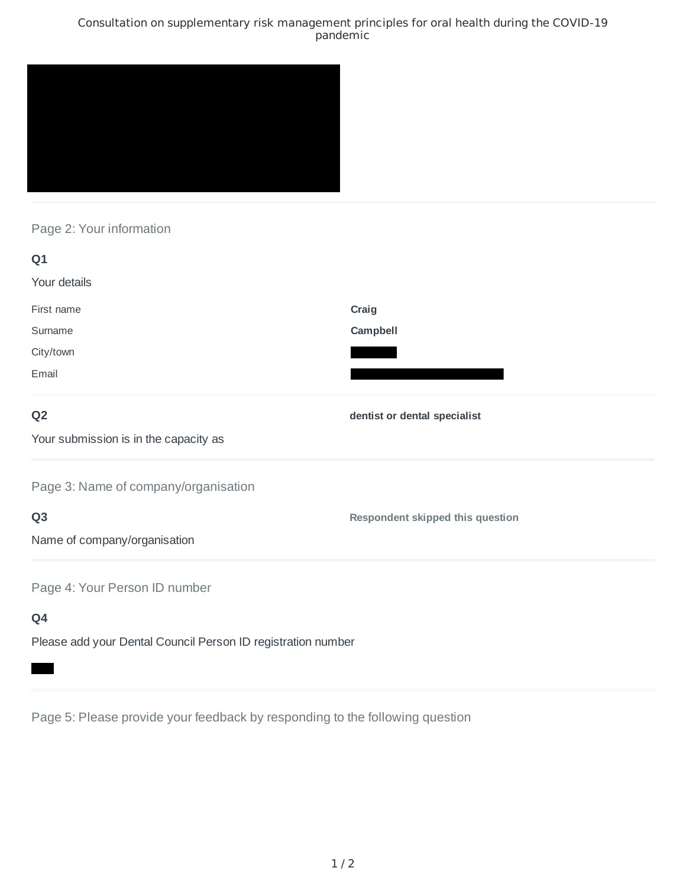### Consultation on supplementary risk management principles for oral health during the COVID-19 pandemic



# Page 2: Your information

| Q1                                                           |                                  |
|--------------------------------------------------------------|----------------------------------|
| Your details                                                 |                                  |
| First name                                                   | Craig                            |
| Surname                                                      | Campbell                         |
| City/town                                                    |                                  |
| Email                                                        |                                  |
| Q <sub>2</sub>                                               | dentist or dental specialist     |
| Your submission is in the capacity as                        |                                  |
| Page 3: Name of company/organisation                         |                                  |
| Q <sub>3</sub>                                               | Respondent skipped this question |
| Name of company/organisation                                 |                                  |
| Page 4: Your Person ID number                                |                                  |
| Q4                                                           |                                  |
| Please add your Dental Council Person ID registration number |                                  |

Page 5: Please provide your feedback by responding to the following question